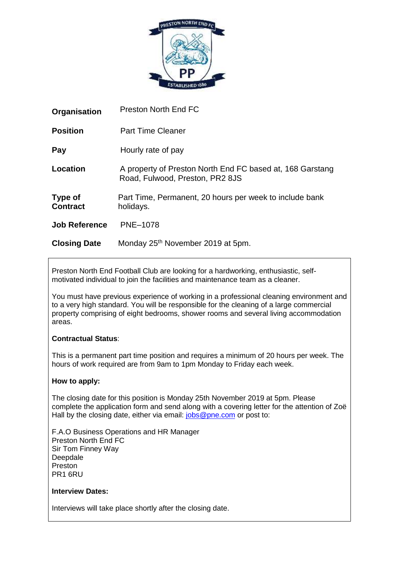

| Organisation               | <b>Preston North End FC</b>                                                                  |
|----------------------------|----------------------------------------------------------------------------------------------|
| <b>Position</b>            | <b>Part Time Cleaner</b>                                                                     |
| Pay                        | Hourly rate of pay                                                                           |
| Location                   | A property of Preston North End FC based at, 168 Garstang<br>Road, Fulwood, Preston, PR2 8JS |
| Type of<br><b>Contract</b> | Part Time, Permanent, 20 hours per week to include bank<br>holidays.                         |
| <b>Job Reference</b>       | <b>PNE-1078</b>                                                                              |
| <b>Closing Date</b>        | Monday 25 <sup>th</sup> November 2019 at 5pm.                                                |

Preston North End Football Club are looking for a hardworking, enthusiastic, selfmotivated individual to join the facilities and maintenance team as a cleaner.

You must have previous experience of working in a professional cleaning environment and to a very high standard. You will be responsible for the cleaning of a large commercial property comprising of eight bedrooms, shower rooms and several living accommodation areas.

# **Contractual Status**:

This is a permanent part time position and requires a minimum of 20 hours per week. The hours of work required are from 9am to 1pm Monday to Friday each week.

# **How to apply:**

The closing date for this position is Monday 25th November 2019 at 5pm. Please complete the application form and send along with a covering letter for the attention of Zoë Hall by the closing date, either via email: [jobs@pne.com](mailto:jobs@pne.com) or post to:

F.A.O Business Operations and HR Manager Preston North End FC Sir Tom Finney Way Deepdale Preston PR1 6RU

# **Interview Dates:**

Interviews will take place shortly after the closing date.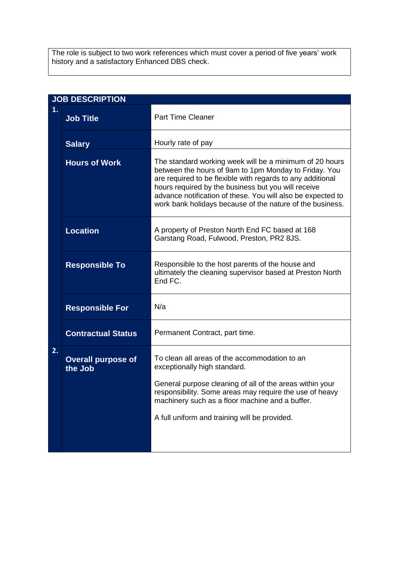The role is subject to two work references which must cover a period of five years' work history and a satisfactory Enhanced DBS check.

| <b>JOB DESCRIPTION</b> |                                      |                                                                                                                                                                                                                                                                                                                                                                   |  |  |
|------------------------|--------------------------------------|-------------------------------------------------------------------------------------------------------------------------------------------------------------------------------------------------------------------------------------------------------------------------------------------------------------------------------------------------------------------|--|--|
| 1.                     | <b>Job Title</b>                     | <b>Part Time Cleaner</b>                                                                                                                                                                                                                                                                                                                                          |  |  |
|                        | <b>Salary</b>                        | Hourly rate of pay                                                                                                                                                                                                                                                                                                                                                |  |  |
|                        | <b>Hours of Work</b>                 | The standard working week will be a minimum of 20 hours<br>between the hours of 9am to 1pm Monday to Friday. You<br>are required to be flexible with regards to any additional<br>hours required by the business but you will receive<br>advance notification of these. You will also be expected to<br>work bank holidays because of the nature of the business. |  |  |
|                        | <b>Location</b>                      | A property of Preston North End FC based at 168<br>Garstang Road, Fulwood, Preston, PR2 8JS.                                                                                                                                                                                                                                                                      |  |  |
|                        | <b>Responsible To</b>                | Responsible to the host parents of the house and<br>ultimately the cleaning supervisor based at Preston North<br>End FC.                                                                                                                                                                                                                                          |  |  |
|                        | <b>Responsible For</b>               | N/a                                                                                                                                                                                                                                                                                                                                                               |  |  |
|                        | <b>Contractual Status</b>            | Permanent Contract, part time.                                                                                                                                                                                                                                                                                                                                    |  |  |
| 2.                     | <b>Overall purpose of</b><br>the Job | To clean all areas of the accommodation to an<br>exceptionally high standard.<br>General purpose cleaning of all of the areas within your<br>responsibility. Some areas may require the use of heavy<br>machinery such as a floor machine and a buffer.<br>A full uniform and training will be provided.                                                          |  |  |